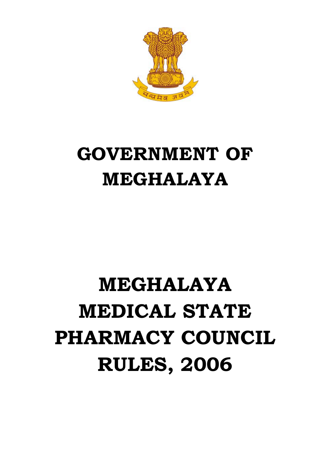

## **GOVERNMENT OF MEGHALAYA**

## **MEGHALAYA MEDICAL STATE PHARMACY COUNCIL RULES, 2006**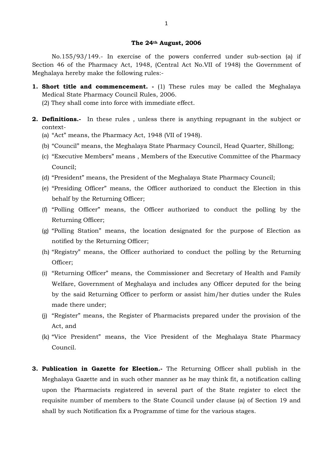## **The 24th August, 2006**

No.155/93/149.- In exercise of the powers conferred under sub-section (a) if Section 46 of the Pharmacy Act, 1948, (Central Act No.VII of 1948) the Government of Meghalaya hereby make the following rules:-

- **1. Short title and commencement. -** (1) These rules may be called the Meghalaya Medical State Pharmacy Council Rules, 2006. (2) They shall come into force with immediate effect.
- **2. Definitions.-** In these rules , unless there is anything repugnant in the subject or context-
	- (a) "Act" means, the Pharmacy Act, 1948 (VII of 1948).
	- (b) "Council" means, the Meghalaya State Pharmacy Council, Head Quarter, Shillong;
	- (c) "Executive Members" means , Members of the Executive Committee of the Pharmacy Council;
	- (d) "President" means, the President of the Meghalaya State Pharmacy Council;
	- (e) "Presiding Officer" means, the Officer authorized to conduct the Election in this behalf by the Returning Officer;
	- (f) "Polling Officer" means, the Officer authorized to conduct the polling by the Returning Officer;
	- (g) "Polling Station" means, the location designated for the purpose of Election as notified by the Returning Officer;
	- (h) "Registry" means, the Officer authorized to conduct the polling by the Returning Officer;
	- (i) "Returning Officer" means, the Commissioner and Secretary of Health and Family Welfare, Government of Meghalaya and includes any Officer deputed for the being by the said Returning Officer to perform or assist him/her duties under the Rules made there under;
	- (j) "Register" means, the Register of Pharmacists prepared under the provision of the Act, and
	- (k) "Vice President" means, the Vice President of the Meghalaya State Pharmacy Council.
- **3. Publication in Gazette for Election.-** The Returning Officer shall publish in the Meghalaya Gazette and in such other manner as he may think fit, a notification calling upon the Pharmacists registered in several part of the State register to elect the requisite number of members to the State Council under clause (a) of Section 19 and shall by such Notification fix a Programme of time for the various stages.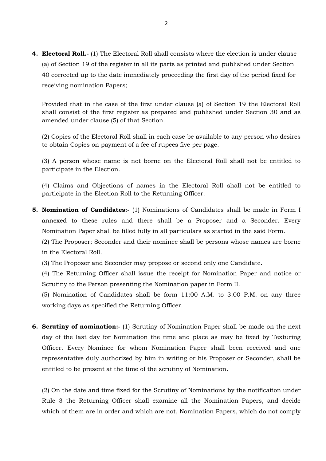**4. Electoral Roll.-** (1) The Electoral Roll shall consists where the election is under clause (a) of Section 19 of the register in all its parts as printed and published under Section 40 corrected up to the date immediately proceeding the first day of the period fixed for receiving nomination Papers;

Provided that in the case of the first under clause (a) of Section 19 the Electoral Roll shall consist of the first register as prepared and published under Section 30 and as amended under clause (5) of that Section.

(2) Copies of the Electoral Roll shall in each case be available to any person who desires to obtain Copies on payment of a fee of rupees five per page.

(3) A person whose name is not borne on the Electoral Roll shall not be entitled to participate in the Election.

(4) Claims and Objections of names in the Electoral Roll shall not be entitled to participate in the Election Roll to the Returning Officer.

**5. Nomination of Candidates:-** (1) Nominations of Candidates shall be made in Form I annexed to these rules and there shall be a Proposer and a Seconder. Every Nomination Paper shall be filled fully in all particulars as started in the said Form.

(2) The Proposer; Seconder and their nominee shall be persons whose names are borne in the Electoral Roll.

(3) The Proposer and Seconder may propose or second only one Candidate.

(4) The Returning Officer shall issue the receipt for Nomination Paper and notice or Scrutiny to the Person presenting the Nomination paper in Form II.

(5) Nomination of Candidates shall be form 11:00 A.M. to 3.00 P.M. on any three working days as specified the Returning Officer.

**6. Scrutiny of nomination:-** (1) Scrutiny of Nomination Paper shall be made on the next day of the last day for Nomination the time and place as may be fixed by Texturing Officer. Every Nominee for whom Nomination Paper shall been received and one representative duly authorized by him in writing or his Proposer or Seconder, shall be entitled to be present at the time of the scrutiny of Nomination.

(2) On the date and time fixed for the Scrutiny of Nominations by the notification under Rule 3 the Returning Officer shall examine all the Nomination Papers, and decide which of them are in order and which are not, Nomination Papers, which do not comply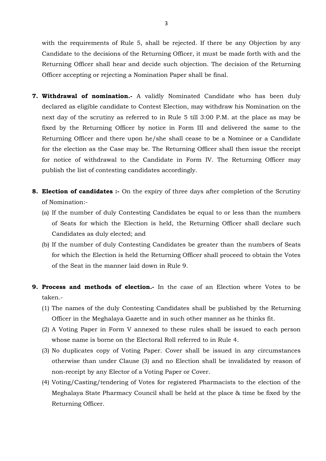with the requirements of Rule 5, shall be rejected. If there be any Objection by any Candidate to the decisions of the Returning Officer, it must be made forth with and the Returning Officer shall hear and decide such objection. The decision of the Returning Officer accepting or rejecting a Nomination Paper shall be final.

- **7. Withdrawal of nomination.-** A validly Nominated Candidate who has been duly declared as eligible candidate to Contest Election, may withdraw his Nomination on the next day of the scrutiny as referred to in Rule 5 till 3:00 P.M. at the place as may be fixed by the Returning Officer by notice in Form III and delivered the same to the Returning Officer and there upon he/she shall cease to be a Nominee or a Candidate for the election as the Case may be. The Returning Officer shall then issue the receipt for notice of withdrawal to the Candidate in Form IV. The Returning Officer may publish the list of contesting candidates accordingly.
- **8. Election of candidates :-** On the expiry of three days after completion of the Scrutiny of Nomination:-
	- (a) If the number of duly Contesting Candidates be equal to or less than the numbers of Seats for which the Election is held, the Returning Officer shall declare such Candidates as duly elected; and
	- (b) If the number of duly Contesting Candidates be greater than the numbers of Seats for which the Election is held the Returning Officer shall proceed to obtain the Votes of the Seat in the manner laid down in Rule 9.
- **9. Process and methods of election.-** In the case of an Election where Votes to be taken.-
	- (1) The names of the duly Contesting Candidates shall be published by the Returning Officer in the Meghalaya Gazette and in such other manner as he thinks fit.
	- (2) A Voting Paper in Form V annexed to these rules shall be issued to each person whose name is borne on the Electoral Roll referred to in Rule 4.
	- (3) No duplicates copy of Voting Paper. Cover shall be issued in any circumstances otherwise than under Clause (3) and no Election shall be invalidated by reason of non-receipt by any Elector of a Voting Paper or Cover.
	- (4) Voting/Casting/tendering of Votes for registered Pharmacists to the election of the Meghalaya State Pharmacy Council shall be held at the place & time be fixed by the Returning Officer.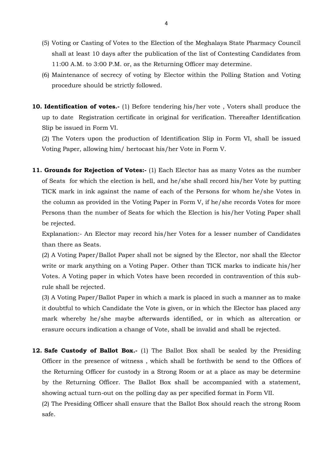- (5) Voting or Casting of Votes to the Election of the Meghalaya State Pharmacy Council shall at least 10 days after the publication of the list of Contesting Candidates from 11:00 A.M. to 3:00 P.M. or, as the Returning Officer may determine.
- (6) Maintenance of secrecy of voting by Elector within the Polling Station and Voting procedure should be strictly followed.
- **10. Identification of votes.-** (1) Before tendering his/her vote , Voters shall produce the up to date Registration certificate in original for verification. Thereafter Identification Slip be issued in Form VI.

(2) The Voters upon the production of Identification Slip in Form VI, shall be issued Voting Paper, allowing him/ hertocast his/her Vote in Form V.

**11. Grounds for Rejection of Votes:-** (1) Each Elector has as many Votes as the number of Seats for which the election is hell, and he/she shall record his/her Vote by putting TICK mark in ink against the name of each of the Persons for whom he/she Votes in the column as provided in the Voting Paper in Form V, if he/she records Votes for more Persons than the number of Seats for which the Election is his/her Voting Paper shall be rejected.

Explanation:- An Elector may record his/her Votes for a lesser number of Candidates than there as Seats.

(2) A Voting Paper/Ballot Paper shall not be signed by the Elector, nor shall the Elector write or mark anything on a Voting Paper. Other than TICK marks to indicate his/her Votes. A Voting paper in which Votes have been recorded in contravention of this subrule shall be rejected.

(3) A Voting Paper/Ballot Paper in which a mark is placed in such a manner as to make it doubtful to which Candidate the Vote is given, or in which the Elector has placed any mark whereby he/she maybe afterwards identified, or in which as altercation or erasure occurs indication a change of Vote, shall be invalid and shall be rejected.

**12. Safe Custody of Ballot Box.-** (1) The Ballot Box shall be sealed by the Presiding Officer in the presence of witness , which shall be forthwith be send to the Offices of the Returning Officer for custody in a Strong Room or at a place as may be determine by the Returning Officer. The Ballot Box shall be accompanied with a statement, showing actual turn-out on the polling day as per specified format in Form VII. (2) The Presiding Officer shall ensure that the Ballot Box should reach the strong Room safe.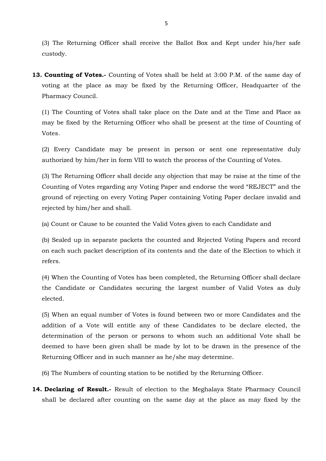(3) The Returning Officer shall receive the Ballot Box and Kept under his/her safe custody.

**13. Counting of Votes.-** Counting of Votes shall be held at 3:00 P.M. of the same day of voting at the place as may be fixed by the Returning Officer, Headquarter of the Pharmacy Council.

(1) The Counting of Votes shall take place on the Date and at the Time and Place as may be fixed by the Returning Officer who shall be present at the time of Counting of Votes.

(2) Every Candidate may be present in person or sent one representative duly authorized by him/her in form VIII to watch the process of the Counting of Votes.

(3) The Returning Officer shall decide any objection that may be raise at the time of the Counting of Votes regarding any Voting Paper and endorse the word "REJECT" and the ground of rejecting on every Voting Paper containing Voting Paper declare invalid and rejected by him/her and shall.

(a) Count or Cause to be counted the Valid Votes given to each Candidate and

(b) Sealed up in separate packets the counted and Rejected Voting Papers and record on each such packet description of its contents and the date of the Election to which it refers.

(4) When the Counting of Votes has been completed, the Returning Officer shall declare the Candidate or Candidates securing the largest number of Valid Votes as duly elected.

(5) When an equal number of Votes is found between two or more Candidates and the addition of a Vote will entitle any of these Candidates to be declare elected, the determination of the person or persons to whom such an additional Vote shall be deemed to have been given shall be made by lot to be drawn in the presence of the Returning Officer and in such manner as he/she may determine.

(6) The Numbers of counting station to be notified by the Returning Officer.

**14. Declaring of Result.-** Result of election to the Meghalaya State Pharmacy Council shall be declared after counting on the same day at the place as may fixed by the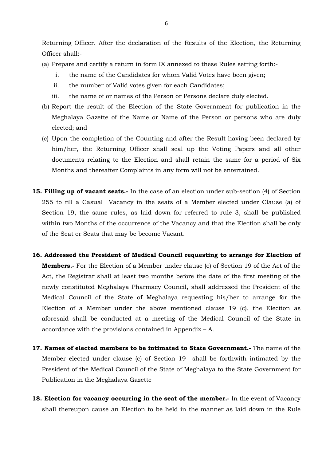Returning Officer. After the declaration of the Results of the Election, the Returning Officer shall:-

- (a) Prepare and certify a return in form IX annexed to these Rules setting forth:
	- i. the name of the Candidates for whom Valid Votes have been given;
	- ii. the number of Valid votes given for each Candidates;
	- iii. the name of or names of the Person or Persons declare duly elected.
- (b) Report the result of the Election of the State Government for publication in the Meghalaya Gazette of the Name or Name of the Person or persons who are duly elected; and
- (c) Upon the completion of the Counting and after the Result having been declared by him/her, the Returning Officer shall seal up the Voting Papers and all other documents relating to the Election and shall retain the same for a period of Six Months and thereafter Complaints in any form will not be entertained.
- **15. Filling up of vacant seats.-** In the case of an election under sub-section (4) of Section 255 to till a Casual Vacancy in the seats of a Member elected under Clause (a) of Section 19, the same rules, as laid down for referred to rule 3, shall be published within two Months of the occurrence of the Vacancy and that the Election shall be only of the Seat or Seats that may be become Vacant.
- **16. Addressed the President of Medical Council requesting to arrange for Election of Members.-** For the Election of a Member under clause (c) of Section 19 of the Act of the Act, the Registrar shall at least two months before the date of the first meeting of the newly constituted Meghalaya Pharmacy Council, shall addressed the President of the Medical Council of the State of Meghalaya requesting his/her to arrange for the Election of a Member under the above mentioned clause 19 (c), the Election as aforesaid shall be conducted at a meeting of the Medical Council of the State in accordance with the provisions contained in Appendix – A.
- **17. Names of elected members to be intimated to State Government.-** The name of the Member elected under clause (c) of Section 19 shall be forthwith intimated by the President of the Medical Council of the State of Meghalaya to the State Government for Publication in the Meghalaya Gazette
- **18. Election for vacancy occurring in the seat of the member.-** In the event of Vacancy shall thereupon cause an Election to be held in the manner as laid down in the Rule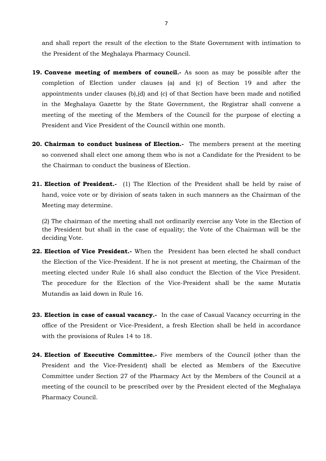and shall report the result of the election to the State Government with intimation to the President of the Meghalaya Pharmacy Council.

- **19. Convene meeting of members of council.-** As soon as may be possible after the completion of Election under clauses (a) and (c) of Section 19 and after the appointments under clauses (b),(d) and (c) of that Section have been made and notified in the Meghalaya Gazette by the State Government, the Registrar shall convene a meeting of the meeting of the Members of the Council for the purpose of electing a President and Vice President of the Council within one month.
- **20. Chairman to conduct business of Election.-** The members present at the meeting so convened shall elect one among them who is not a Candidate for the President to be the Chairman to conduct the business of Election.
- **21. Election of President.-** (1) The Election of the President shall be held by raise of hand, voice vote or by division of seats taken in such manners as the Chairman of the Meeting may determine.

(2) The chairman of the meeting shall not ordinarily exercise any Vote in the Election of the President but shall in the case of equality; the Vote of the Chairman will be the deciding Vote.

- **22. Election of Vice President.-** When the President has been elected he shall conduct the Election of the Vice-President. If he is not present at meeting, the Chairman of the meeting elected under Rule 16 shall also conduct the Election of the Vice President. The procedure for the Election of the Vice-President shall be the same Mutatis Mutandis as laid down in Rule 16.
- **23. Election in case of casual vacancy.-** In the case of Casual Vacancy occurring in the office of the President or Vice-President, a fresh Election shall be held in accordance with the provisions of Rules 14 to 18.
- **24. Election of Executive Committee.-** Five members of the Council (other than the President and the Vice-President) shall be elected as Members of the Executive Committee under Section 27 of the Pharmacy Act by the Members of the Council at a meeting of the council to be prescribed over by the President elected of the Meghalaya Pharmacy Council.